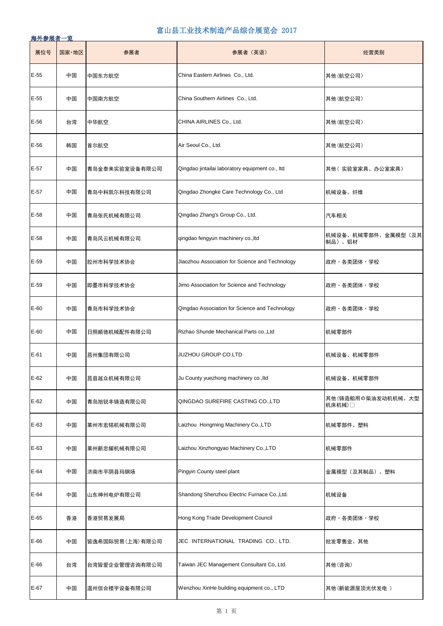| 展位号    | 国家·地区 | 参展者              | 参展者 (英语)                                        | 经营类别                         |
|--------|-------|------------------|-------------------------------------------------|------------------------------|
| $E-55$ | 中国    | 中国东方航空           | China Eastern Airlines Co., Ltd.                | 其他(航空公司)                     |
| $E-55$ | 中国    | 中国南方航空           | China Southern Airlines Co., Ltd.               | 其他(航空公司)                     |
| $E-56$ | 台湾    | 中华航空             | CHINA AIRLINES Co., Ltd.                        | 其他(航空公司)                     |
| $E-56$ | 韩国    | 首尔航空             | Air Seoul Co., Ltd.                             | 其他(航空公司)                     |
| $E-57$ | 中国    | 青岛金泰来实验室设备有限公司   | Qingdao jintailai laboratory equipment co., Itd | 其他( 实验室家具、办公室家具)             |
| $E-57$ | 中国    | 青岛中科凯尓科技有限公司     | Qingdao Zhongke Care Technology Co., Ltd        | 机械设备、纤维                      |
| $E-58$ | 中国    | 青岛张氏机械有限公司       | Qingdao Zhang's Group Co., Ltd.                 | 汽车相关                         |
| $E-58$ | 中国    | 青岛风云机械有限公司       | qingdao fengyun machinery co., Itd              | 机械设备、机械零部件、金属模型(及其<br>制品)、铝材 |
| $E-59$ | 中国    | 胶州市科学技术协会        | Jiaozhou Association for Science and Technology | 政府・各类团体・学校                   |
| $E-59$ | 中国    | 即墨市科学技术协会        | Jimo Association for Science and Technology     | 政府・各类团体・学校                   |
| $E-60$ | 中国    | 青岛市科学技术协会        | Qingdao Association for Science and Technology  | 政府・各类团体・学校                   |
| $E-60$ | 中国    | 日照顺徳机械配件有限公司     | Rizhao Shunde Mechanical Parts co., Ltd         | 机械零部件                        |
| E-61   | 中国    | 莒州集団有限公司         | <b>JUZHOU GROUP CO.LTD</b>                      | 机械设备、机械零部件                   |
| $E-62$ | 中国    | 莒县越众机械有限公司       | Ju County yuezhong machinery co., Itd           | 机械设备、机械零部件                   |
| $E-62$ | 中国    | 青岛旭锐丰铸造有限公司      | QINGDAO SUREFIRE CASTING CO., LTD               | 其他(铸造船用の柴油发动机机械、大型<br>机床机械)□ |
| $E-63$ | 中国    | 莱州市宏铭机械有限公司      | Laizhou Hongming Machinery Co., LTD             | 机械零部件、塑料                     |
| $E-63$ | 中国    | 莱州新忠耀机械有限公司      | Laizhou Xinzhongyao Machinery Co., LTD          | 机械零部件                        |
| E-64   | 中国    | 济南市平阴县玛钢场        | Pingyin County steel plant                      | 金属模型(及其制品)、塑料                |
| $E-64$ | 中国    | 山东神州电炉有限公司       | Shandong Shenzhou Electric Furnace Co., Ltd.    | 机械设备                         |
| $E-65$ | 香港    | 香港贸易发展局          | Hong Kong Trade Development Council             | 政府・各类团体・学校                   |
| E-66   | 中国    | 皆逸希国际贸易(上海) 有限公司 | JEC INTERNATIONAL TRADING CO., LTD.             | 批发零售业、其他                     |
| $E-66$ | 台湾    | 台湾皆爱企业管理咨询有限公司   | Taiwan JEC Management Consultant Co, Ltd.       | 其他(咨询)                       |
| E-67   | 中国    | 温州信合楼宇设备有限公司     | Wenzhou XinHe building equipment co., LTD       | 其他(新能源屋顶光伏发电)                |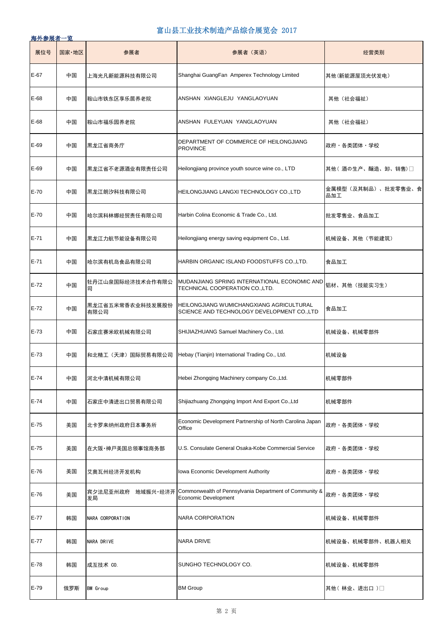| 展位号    | 国家·地区 | 参展者                      | 参展者(英语)                                                                                | 经营类别                      |
|--------|-------|--------------------------|----------------------------------------------------------------------------------------|---------------------------|
| $E-67$ | 中国    | 上海光凡新能源科技有限公司            | Shanghai GuangFan Amperex Technology Limited                                           | 其他(新能源屋顶光伏发电)             |
| E-68   | 中国    | 鞍山市铁东区享乐居养老院             | ANSHAN XIANGLEJU YANGLAOYUAN                                                           | 其他(社会福祉)                  |
| E-68   | 中国    | 鞍山市福乐园养老院                | ANSHAN FULEYUAN YANGLAOYUAN                                                            | 其他(社会福祉)                  |
| E-69   | 中国    | 黒龙江省商务庁                  | DEPARTMENT OF COMMERCE OF HEILONGJIANG<br><b>PROVINCE</b>                              | 政府・各类团体・学校                |
| $E-69$ | 中国    | 黒龙江省不老源酒业有限责任公司          | Heilongjiang province youth source wine co., LTD                                       | 其他( 酒の生产、醸造、卸、销售)□        |
| $E-70$ | 中国    | 黒龙江朗汐科技有限公司              | HEILONGJIANG LANGXI TECHNOLOGY CO.,LTD                                                 | 金属模型(及其制品)、批发零售业、食<br>品加工 |
| $E-70$ | 中国    | 哈尔滨科林娜经贸责任有限公司           | Harbin Colina Economic & Trade Co., Ltd.                                               | 批发零售业、食品加工                |
| E-71   | 中国    | 黒龙江力航节能设备有限公司            | Heilongjiang energy saving equipment Co., Ltd.                                         | 机械设备、其他 (节能建筑)            |
| E-71   | 中国    | 哈尔滨有机岛食品有限公司             | HARBIN ORGANIC ISLAND FOODSTUFFS CO., LTD.                                             | 食品加工                      |
| E-72   | 中国    | 牡丹江山泉国际经济技术合作有限公<br>司    | MUDANJIANG SPRING INTERNATIONAL ECONOMIC AND<br>TECHNICAL COOPERATION CO., LTD.        | 铝材、其他 (技能实习生)             |
| $E-72$ | 中国    | 黒龙江省五米常香农业科技发展股份<br>有限公司 | HEILONGJIANG WUMICHANGXIANG AGRICULTURAL<br>SCIENCE AND TECHNOLOGY DEVELOPMENT CO.,LTD | 食品加工                      |
| $E-73$ | 中国    | 石家庄赛米欧机械有限公司             | SHIJIAZHUANG Samuel Machinery Co., Ltd.                                                | 机械设备、机械零部件                |
| $E-73$ | 中国    |                          | 和北精工(天津)国际贸易有限公司   Hebay (Tianjin) International Trading Co., Ltd.                     | 机械设备                      |
| $E-74$ | 中国    | 河北中清机械有限公司               | Hebei Zhongqing Machinery company Co., Ltd.                                            | 机械零部件                     |
| $E-74$ | 中国    | 石家庄中清进出口贸易有限公司           | Shijiazhuang Zhongging Import And Export Co., Ltd                                      | 机械零部件                     |
| $E-75$ | 美国    | 北卡罗来纳州政府日本事务所            | Economic Development Partnership of North Carolina Japan<br>Office                     | 政府・各类团体・学校                |
| $E-75$ | 美国    | 在大阪•神戸美国总领事馆商务部          | U.S. Consulate General Osaka-Kobe Commercial Service                                   | 政府・各类团体・学校                |
| $E-76$ | 美国    | 艾奥瓦州经济开发机构               | Iowa Economic Development Authority                                                    | 政府・各类团体・学校                |
| $E-76$ | 美国    | 宾夕法尼亚州政府 地域振兴 经济开<br>发局  | Commonwealth of Pennsylvania Department of Community &<br>Economic Development         | 政府·各类团体·学校                |
| $E-77$ | 韩国    | NARA CORPORATION         | <b>NARA CORPORATION</b>                                                                | 机械设备、机械零部件                |
| E-77   | 韩国    | NARA DRIVE               | <b>NARA DRIVE</b>                                                                      | 机械设备、机械零部件、机器人相关          |
| $E-78$ | 韩国    | 成互技术 CO.                 | SUNGHO TECHNOLOGY CO.                                                                  | 机械设备、机械零部件                |
| $E-79$ | 俄罗斯   | <b>BM</b> Group          | <b>BM Group</b>                                                                        | 其他 (林业、进出口)□              |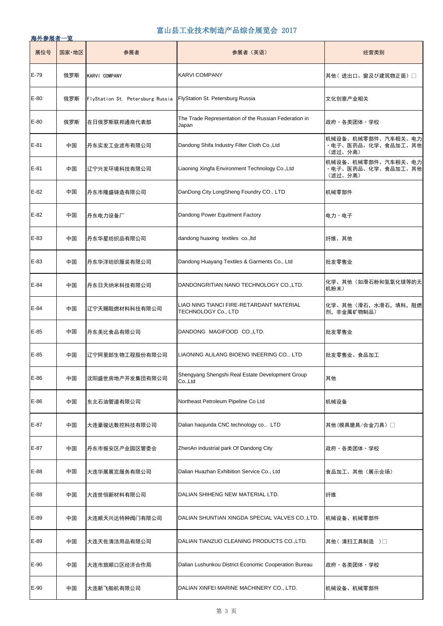| 展位号    | 国家·地区 | 参展者                              | 参展者 (英语)                                                        | 经营类别                                                |
|--------|-------|----------------------------------|-----------------------------------------------------------------|-----------------------------------------------------|
| $E-79$ | 俄罗斯   | KARVI COMPANY                    | <b>KARVI COMPANY</b>                                            | 其他( 进出口、窗及び建筑物正面) □                                 |
| $E-80$ | 俄罗斯   | FlyStation St. Petersburg Russia | FlyStation St. Petersburg Russia                                | 文化创意产业相关                                            |
| $E-80$ | 俄罗斯   | 在日俄罗斯联邦通商代表部                     | The Trade Representation of the Russian Federation in<br>Japan  | 政府・各类团体・学校                                          |
| E-81   | 中国    | 丹东实发工业滤布有限公司                     | Dandong Shifa Industry Filter Cloth Co., Ltd                    | 机械设备、机械零部件、汽车相关、电力<br>・电子、医药品、化学、食品加工、其他<br>(滤过、分离) |
| $E-81$ | 中国    | 辽宁兴发环境科技有限公司                     | Liaoning Xingfa Environment Technology Co., Ltd                 | 机械设备、机械零部件、汽车相关、电力<br>・电子、医药品、化学、食品加工、其他<br>(滤过、分离) |
| $E-82$ | 中国    | 丹东市隆盛铸造有限公司                      | DanDong City LongSheng Foundry CO., LTD                         | 机械零部件                                               |
| E-82   | 中国    | 丹东电力设备厂                          | Dandong Power Equitment Factory                                 | 电力・电子                                               |
| E-83   | 中国    | 丹东华星纺织品有限公司                      | dandong huaxing textiles co., Itd                               | 纤维、其他                                               |
| E-83   | 中国    | 丹东华洋纺织服装有限公司                     | Dandong Huayang Textiles & Garments Co., Ltd                    | 批发零售业                                               |
| $E-84$ | 中国    | 丹东日天纳米科技有限公司                     | DANDONGRITIAN NANO TECHNOLOGY CO., LTD.                         | 化学、其他(如滑石粉和氢氧化镁等的无<br>机粉末)                          |
| $E-84$ | 中国    | 辽宁天赐阻燃材料科技有限公司                   | LIAO NING TIANCI FIRE-RETARDANT MATERIAL<br>TECHNOLOGY Co., LTD | 化学、其他 (滑石, 水滑石, 填料, 阻燃<br>剂, 非金属矿物制品)               |
| $E-85$ | 中国    | 丹东美比食品有限公司                       | DANDONG MAGIFOOD CO.,LTD.                                       | 批发零售业                                               |
| $E-85$ | 中国    | 辽宁阿里郎生物工程股份有限公司                  | LIAONING ALILANG BIOENG INEERING CO., LTD                       | 批发零售业、食品加工                                          |
| E-86   | 中国    | 沈阳盛世房地产开发集団有限公司                  | Shengyang Shengshi Real Estate Development Group<br>Co., Ltd    | 其他                                                  |
| $E-86$ | 中国    | 东北石油管道有限公司                       | Northeast Petroleum Pipeline Co Ltd                             | 机械设备                                                |
| E-87   | 中国    | 大连豪骏达数控科技有限公司                    | Dalian haojunda CNC technology co., LTD                         | 其他(模具磨具/合金刀具)                                       |
| E-87   | 中国    | 丹东市振安区产业园区管委会                    | ZhenAn industrial park Of Dandong City                          | 政府・各类团体・学校                                          |
| E-88   | 中国    | 大连华展展览服务有限公司                     | Dalian Huazhan Exhibition Service Co., Ltd                      | 食品加工、其他(展示会场)                                       |
| E-88   | 中国    | 大连世恒新材料有限公司                      | DALIAN SHIHENG NEW MATERIAL LTD.                                | 纤维                                                  |
| $E-89$ | 中国    | 大连顺天兴达特种阀门有限公司                   | DALIAN SHUNTIAN XINGDA SPECIAL VALVES CO., LTD.                 | 机械设备、机械零部件                                          |
| $E-89$ | 中国    | 大连天佐清洁用品有限公司                     | DALIAN TIANZUO CLEANING PRODUCTS CO., LTD.                      | 其他(清扫工具制造)□                                         |
| $E-90$ | 中国    | 大连市旅顺口区经济合作局                     | Dalian Lushunkou District Economic Cooperation Bureau           | 政府・各类团体・学校                                          |
| $E-90$ | 中国    | 大连新飞船机有限公司                       | DALIAN XINFEI MARINE MACHINERY CO., LTD.                        | 机械设备、机械零部件                                          |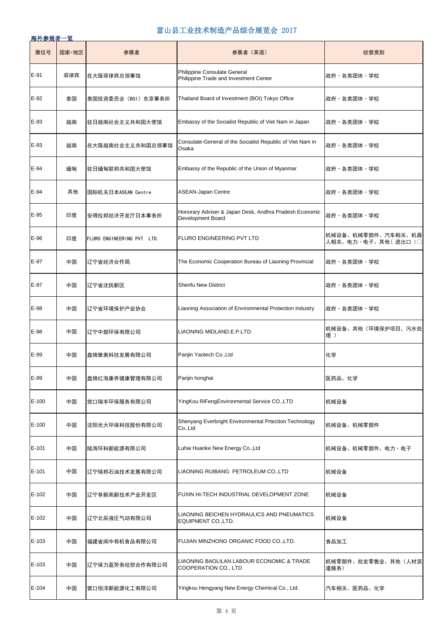| 展位号     | 国家·地区 | 参展者                         | 参展者 (英语)                                                                    | 经营类别                                     |
|---------|-------|-----------------------------|-----------------------------------------------------------------------------|------------------------------------------|
| $E-91$  | 菲律宾   | 在大阪菲律宾总领事馆                  | Philippine Consulate General<br>Philippine Trade and Investment Center      | 政府・各类团体・学校                               |
| $E-92$  | 泰国    | 泰国投资委员会(BOI)东京事务所           | Thailand Board of Investment (BOI) Tokyo Office                             | 政府・各类团体・学校                               |
| E-93    | 越南    | 驻日越南社会主义共和国大使馆              | Embassy of the Socialist Republic of Viet Nam in Japan                      | 政府・各类团体・学校                               |
| E-93    | 越南    | 在大阪越南社会主义共和国总领事馆            | Consulate-General of the Socialist Republic of Viet Nam in<br>Osaka         | 政府・各类团体・学校                               |
| E-94    | 缅甸    | 驻日缅甸联邦共和国大使馆                | Embassy of the Republic of the Union of Myanmar                             | 政府・各类团体・学校                               |
| $E-94$  | 其他    | 国际机关日本ASEAN Centre          | ASEAN-Japan Centre                                                          | 政府・各类团体・学校                               |
| E-95    | 印度    | 安得拉邦经济开发厅日本事务所              | Honorary Adviser & Japan Desk, Andhra Pradesh Economic<br>Development Board | 政府・各类团体・学校                               |
| $E-96$  | 印度    | FLURO ENGINEERING PVT. LTD. | FLURO ENGINEERING PVT LTD                                                   | 机械设备、机械零部件、汽车相关、机器<br>人相关、电力·电子、其他(进出口)□ |
| E-97    | 中国    | 辽宁省经济合作局                    | The Economic Cooperation Bureau of Liaoning Provincial                      | 政府・各类团体・学校                               |
| E-97    | 中国    | 辽宁省沈抚新区                     | <b>Shenfu New District</b>                                                  | 政府・各类团体・学校                               |
| E-98    | 中国    | 辽宁省环境保护产业协会                 | Liaoning Association of Environmental Protection Industry                   | 政府・各类团体・学校                               |
| E-98    | 中国    | 辽宁中部环保有限公司                  | LIAONING MIDLAND.E.P.LTD                                                    | 机械设备、其他(环境保护项目,污水处<br>理)                 |
| E-99    | 中国    | 盘锦雅奥科技发展有限公司                | Panjin Yaotech Co., Ltd                                                     | 化学                                       |
| E-99    | 中国    | 盘锦红海康养健康管理有限公司              | Panjin honghai                                                              | 医药品、化学                                   |
| $E-100$ | 中国    | 営口瑞丰环保服务有限公司                | YingKou RiFengEnvironmental Service CO.,LTD                                 | 机械设备                                     |
| $E-100$ | 中国    | 沈阳光大环保科技股份有限公司              | Shenyang Everbright Environmental Prtection Technology<br>Co., Ltd          | 机械设备、机械零部件                               |
| E-101   | 中国    | 陆海环科新能源有限公司                 | Luhai Huanke New Energy Co., Ltd                                            | 机械设备、机械零部件、电力・电子                         |
| E-101   | 中国    | 辽宁瑞邦石油技术发展有限公司              | LIAONING RUIBANG PETROLEUM CO., LTD                                         | 机械设备                                     |
| $E-102$ | 中国    | 辽宁阜新高新技术产业开发区               | FUXIN HI-TECH INDUSTRIAL DEVELOPMENT ZONE                                   | 机械设备                                     |
| $E-102$ | 中国    | 辽宁北辰液圧气动有限公司                | LIAONING BEICHEN HYDRAULICS AND PNEUMATICS<br>EQUIPMENT CO., LTD.           | 机械设备                                     |
| E-103   | 中国    | 福建省闽中有机食品有限公司               | FUJIAN MINZHONG ORGANIC FOOD CO., LTD.                                      | 食品加工                                     |
| E-103   | 中国    | 辽宁保力蓝劳务经贸合作有限公司             | LIAONING BAOLILAN LABOUR ECONOMIC & TRADE<br>COOPERATION CO., LTD           | 机械零部件、批发零售业、其他(人材派<br>遣服务)               |
| $E-104$ | 中国    | 营口恒洋新能源化工有限公司               | Yingkou Hengyang New Energy Chemical Co., Ltd.                              | 汽车相关、医药品、化学                              |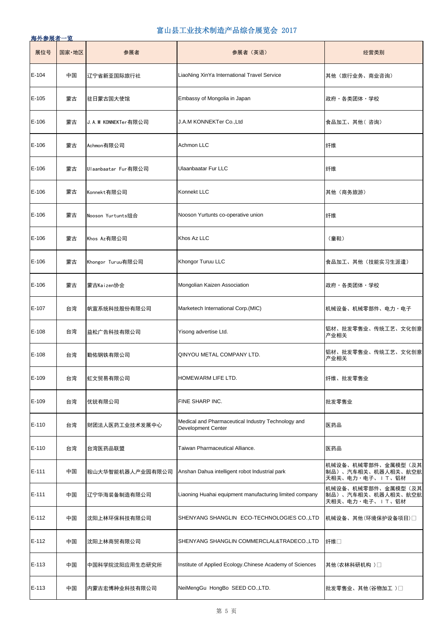| 展位号     | 国家·地区 | 参展者                 | 参展者 (英语)                                                                        | 经营类别                                                        |
|---------|-------|---------------------|---------------------------------------------------------------------------------|-------------------------------------------------------------|
| $E-104$ | 中国    | 辽宁省新亚国际旅行社          | LiaoNing XinYa International Travel Service                                     | 其他(旅行业务、商业咨询)                                               |
| E-105   | 蒙古    | 驻日蒙古国大使馆            | Embassy of Mongolia in Japan                                                    | 政府・各类团体・学校                                                  |
| $E-106$ | 蒙古    | J.A.M KONNEKTer有限公司 | J.A.M KONNEKTer Co., Ltd                                                        | 食品加工、其他(咨询)                                                 |
| $E-106$ | 蒙古    | Achmon有限公司          | Achmon LLC                                                                      | 纤维                                                          |
| $E-106$ | 蒙古    | Ulaanbaatar Fur有限公司 | <b>Ulaanbaatar Fur LLC</b>                                                      | 纤维                                                          |
| $E-106$ | 蒙古    | Konnekt有限公司         | Konnekt LLC                                                                     | 其他 (商务旅游)                                                   |
| $E-106$ | 蒙古    | Nooson Yurtunts组合   | Nooson Yurtunts co-operative union                                              | 纤维                                                          |
| $E-106$ | 蒙古    | Khos Az有限公司         | Khos Az LLC                                                                     | (童鞋)                                                        |
| $E-106$ | 蒙古    | Khongor Turuu有限公司   | Khongor Turuu LLC                                                               | 食品加工、其他(技能实习生派遣)                                            |
| $E-106$ | 蒙古    | 蒙古Kaizen协会          | Mongolian Kaizen Association                                                    | 政府・各类团体・学校                                                  |
| E-107   | 台湾    | 帆宣系统科技股份有限公司        | Marketech International Corp. (MIC)                                             | 机械设备、机械零部件、电力・电子                                            |
| $E-108$ | 台湾    | 益松广告科技有限公司          | Yisong advertise Ltd.                                                           | 铝材、批发零售业、传统工艺、文化创意<br>产业相关                                  |
| $E-108$ | 台湾    | 勤佑钢铁有限公司            | QINYOU METAL COMPANY LTD.                                                       | 铝材、批发零售业、传统工艺、文化创意<br>产业相关                                  |
| E-109   | 台湾    | 虹文贸易有限公司            | HOMEWARM LIFE LTD.                                                              | 纤维、批发零售业                                                    |
| E-109   | 台湾    | 优锐有限公司              | FINE SHARP INC.                                                                 | 批发零售业                                                       |
| E-110   | 台湾    | 财团法人医药工业技术发展中心      | Medical and Pharmaceutical Industry Technology and<br><b>Development Center</b> | 医药品                                                         |
| E-110   | 台湾    | 台湾医药品联盟             | Taiwan Pharmaceutical Alliance.                                                 | 医药品                                                         |
| E-111   | 中国    | 鞍山大华智能机器人产业园有限公司    | Anshan Dahua intelligent robot Industrial park                                  | 机械设备、机械零部件、金属模型(及其<br>制品)、汽车相关、机器人相关、航空航<br>天相关、电力·电子、IT、铝材 |
| $E-111$ | 中国    | 辽宁华海装备制造有限公司        | Liaoning Huahai equipment manufacturing limited company                         | 机械设备、机械零部件、金属模型(及其<br>制品)、汽车相关、机器人相关、航空航<br>天相关、电力·电子、IT、铝材 |
| $E-112$ | 中国    | 沈阳上林环保科技有限公司        | SHENYANG SHANGLIN ECO-TECHNOLOGIES CO.,LTD                                      | 机械设备、其他(环境保护设备项目)□                                          |
| $E-112$ | 中国    | 沈阳上林商贸有限公司          | SHENYANG SHANGLIN COMMERCLAL&TRADECO.,LTD                                       | 纤维□                                                         |
| E-113   | 中国    | 中国科学院沈阳应用生态研究所      | Institute of Applied Ecology Chinese Academy of Sciences                        | 其他(农林科研机构 ) □                                               |
| E-113   | 中国    | 内蒙古宏博种业科技有限公司       | NeiMengGu HongBo SEED CO., LTD.                                                 | 批发零售业、其他(谷物加工 ) □                                           |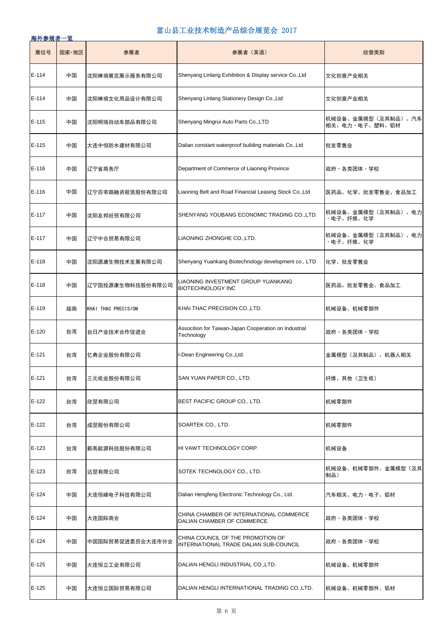| 展位号     | 国家·地区 | 参展者                 | 参展者 (英语)                                                                    | 经营类别                                 |
|---------|-------|---------------------|-----------------------------------------------------------------------------|--------------------------------------|
| $E-114$ | 中国    | 沈阳琳琅展览展示服务有限公司      | Shenyang Linlang Exhibition & Display service Co., Ltd                      | 文化创意产业相关                             |
| E-114   | 中国    | 沈阳琳琅文化用品设计有限公司      | Shenyang Linlang Stationery Design Co., Ltd                                 | 文化创意产业相关                             |
| E-115   | 中国    | 沈阳明瑞自动车部品有限公司       | Shenyang Mingrui Auto Parts Co., LTD                                        | 机械设备、金属模型(及其制品)、汽车<br>相关、电力・电子、塑料、铝材 |
| E-115   | 中国    | 大连中恒防水建材有限公司        | Dalian constant waterproof building materials Co., Ltd                      | 批发零售业                                |
| $E-116$ | 中国    | 辽宁省商务庁              | Department of Commerce of Liaoning Province                                 | 政府・各类团体・学校                           |
| $E-116$ | 中国    | 辽宁百帝路融资租赁股份有限公司     | Liaoning Belt and Road Financial Leasing Stock Co., Ltd                     | 医药品、化学、批发零售业、食品加工                    |
| E-117   | 中国    | 沈阳友邦经贸有限公司          | SHENYANG YOUBANG ECONOMIC TRADING CO., LTD.                                 | 机械设备、金属模型(及其制品)、电力<br>・电子、纤维、化学      |
| E-117   | 中国    | 辽宁中合贸易有限公司          | LIAONING ZHONGHE CO., LTD.                                                  | 机械设备、金属模型(及其制品)、电力<br>・电子、纤维、化学      |
| E-118   | 中国    | 沈阳源康生物技术发展有限公司      | Shenyang Yuankang Biotechnology development co., LTD                        | 化学、批发零售业                             |
| E-118   | 中国    | 辽宁国投源康生物科技股份有限公司    | LIAONING INVESTMENT GROUP YUANKANG<br><b>BIOTECHNOLOGY INC</b>              | 医药品、批发零售业、食品加工                       |
| E-119   | 越南    | KHAI THAC PRECISION | KHAI THAC PRECISION CO., LTD.                                               | 机械设备、机械零部件                           |
| E-120   | 台湾    | 台日产业技术合作促进会         | Assocition for Taiwan-Japan Cooperation on Industrial<br>Technology         | 政府・各类团体・学校                           |
| E-121   | 台湾    | 亿典企业股份有限公司          | I-Dean Engineering Co., Ltd.                                                | 金属模型(及其制品)、机器人相关                     |
| $E-121$ | 台湾    | 三元纸业股份有限公司          | SAN YUAN PAPER CO., LTD.                                                    | 纤维、其他(卫生纸)                           |
| $E-122$ | 台湾    | 欣翌有限公司              | BEST PACIFIC GROUP CO., LTD.                                                | 机械零部件                                |
| $E-122$ | 台湾    | 成翌股份有限公司            | SOARTEK CO., LTD.                                                           | 机械零部件                                |
| E-123   | 台湾    | 新高能源科技股份有限公司        | HI VAWT TECHNOLOGY CORP.                                                    | 机械设备                                 |
| E-123   | 台湾    | 达翌有限公司              | SOTEK TECHNOLOGY CO., LTD.                                                  | 机械设备、机械零部件、金属模型(及其<br>制品)            |
| $E-124$ | 中国    | 大连恒峰电子科技有限公司        | Dalian Hengfeng Electronic Technology Co., Ltd.                             | 汽车相关、电力・电子、铝材                        |
| E-124   | 中国    | 大连国际商会              | CHINA CHAMBER OF INTERNATIONAL COMMERCE<br>DALIAN CHAMBER OF COMMERCE       | 政府・各类团体・学校                           |
| E-124   | 中国    | 中国国际贸易促进委员会大连市分会    | CHINA COUNCIL OF THE PROMOTION OF<br>INTERNATIONAL TRADE DALIAN SUB-COUNCIL | 政府・各类团体・学校                           |
| $E-125$ | 中国    | 大连恒立工业有限公司          | DALIAN HENGLI INDUSTRIAL CO., LTD.                                          | 机械设备、机械零部件                           |
| $E-125$ | 中国    | 大连恒立国际贸易有限公司        | DALIAN HENGLI INTERNATIONAL TRADING CO., LTD.                               | 机械设备、机械零部件、铝材                        |